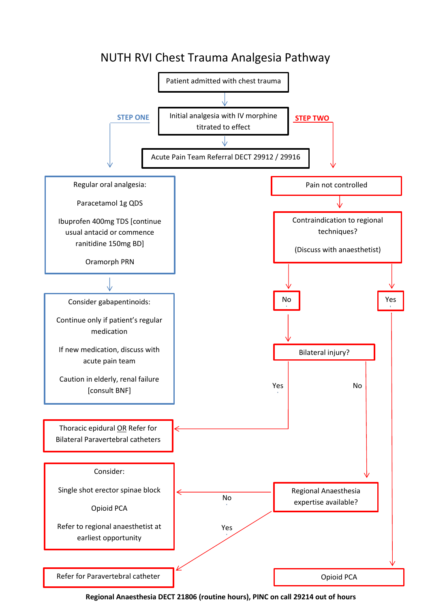

**Regional Anaesthesia DECT 21806 (routine hours), PINC on call 29214 out of hours**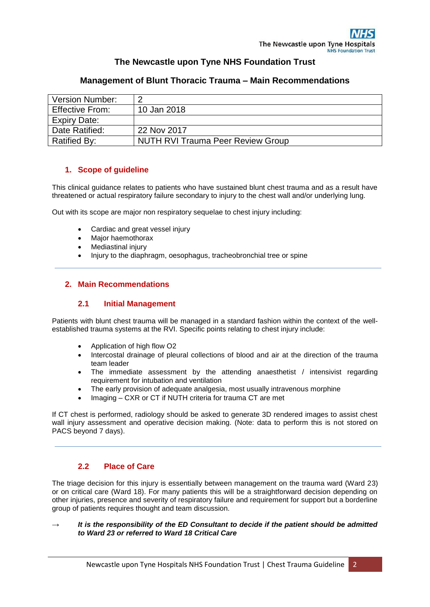# **The Newcastle upon Tyne NHS Foundation Trust**

| <b>Version Number:</b> | ◠                                        |
|------------------------|------------------------------------------|
| <b>Effective From:</b> | 10 Jan 2018                              |
| Expiry Date:           |                                          |
| Date Ratified:         | 22 Nov 2017                              |
| Ratified By:           | <b>NUTH RVI Trauma Peer Review Group</b> |

# **Management of Blunt Thoracic Trauma – Main Recommendations**

# **1. Scope of guideline**

This clinical guidance relates to patients who have sustained blunt chest trauma and as a result have threatened or actual respiratory failure secondary to injury to the chest wall and/or underlying lung.

Out with its scope are major non respiratory sequelae to chest injury including:

- Cardiac and great vessel injury
- Major haemothorax
- Mediastinal injury
- Injury to the diaphragm, oesophagus, tracheobronchial tree or spine

## **2. Main Recommendations**

### **2.1 Initial Management**

Patients with blunt chest trauma will be managed in a standard fashion within the context of the wellestablished trauma systems at the RVI. Specific points relating to chest injury include:

- Application of high flow O2
- Intercostal drainage of pleural collections of blood and air at the direction of the trauma team leader
- The immediate assessment by the attending anaesthetist / intensivist regarding requirement for intubation and ventilation
- The early provision of adequate analgesia, most usually intravenous morphine
- Imaging CXR or CT if NUTH criteria for trauma CT are met

If CT chest is performed, radiology should be asked to generate 3D rendered images to assist chest wall injury assessment and operative decision making. (Note: data to perform this is not stored on PACS beyond 7 days).

## **2.2 Place of Care**

The triage decision for this injury is essentially between management on the trauma ward (Ward 23) or on critical care (Ward 18). For many patients this will be a straightforward decision depending on other injuries, presence and severity of respiratory failure and requirement for support but a borderline group of patients requires thought and team discussion.

### It is the responsibility of the ED Consultant to decide if the patient should be admitted *to Ward 23 or referred to Ward 18 Critical Care*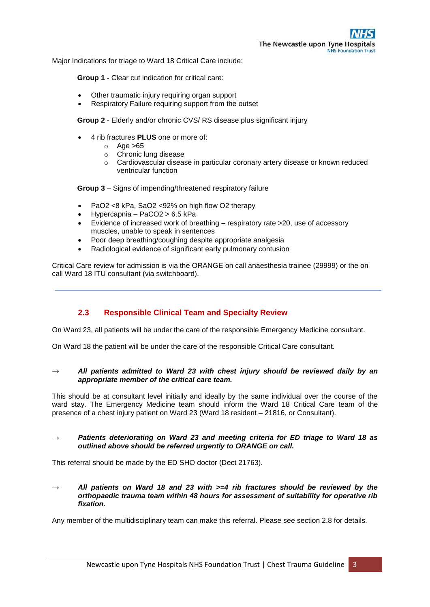Major Indications for triage to Ward 18 Critical Care include:

**Group 1 -** Clear cut indication for critical care:

- Other traumatic injury requiring organ support
- Respiratory Failure requiring support from the outset

**Group 2** - Elderly and/or chronic CVS/ RS disease plus significant injury

- 4 rib fractures **PLUS** one or more of:
	- $o$  Age  $>65$
	- o Chronic lung disease
	- o Cardiovascular disease in particular coronary artery disease or known reduced ventricular function

**Group 3** – Signs of impending/threatened respiratory failure

- PaO2 <8 kPa, SaO2 <92% on high flow O2 therapy
- Hypercapnia PaCO2 > 6.5 kPa
- Evidence of increased work of breathing respiratory rate >20, use of accessory muscles, unable to speak in sentences
- Poor deep breathing/coughing despite appropriate analgesia
- Radiological evidence of significant early pulmonary contusion

Critical Care review for admission is via the ORANGE on call anaesthesia trainee (29999) or the on call Ward 18 ITU consultant (via switchboard).

## **2.3 Responsible Clinical Team and Specialty Review**

On Ward 23, all patients will be under the care of the responsible Emergency Medicine consultant.

On Ward 18 the patient will be under the care of the responsible Critical Care consultant.

### *→ All patients admitted to Ward 23 with chest injury should be reviewed daily by an appropriate member of the critical care team.*

This should be at consultant level initially and ideally by the same individual over the course of the ward stay. The Emergency Medicine team should inform the Ward 18 Critical Care team of the presence of a chest injury patient on Ward 23 (Ward 18 resident – 21816, or Consultant).

### *→ Patients deteriorating on Ward 23 and meeting criteria for ED triage to Ward 18 as outlined above should be referred urgently to ORANGE on call.*

This referral should be made by the ED SHO doctor (Dect 21763).

*→ All patients on Ward 18 and 23 with >=4 rib fractures should be reviewed by the orthopaedic trauma team within 48 hours for assessment of suitability for operative rib fixation.*

Any member of the multidisciplinary team can make this referral. Please see section 2.8 for details.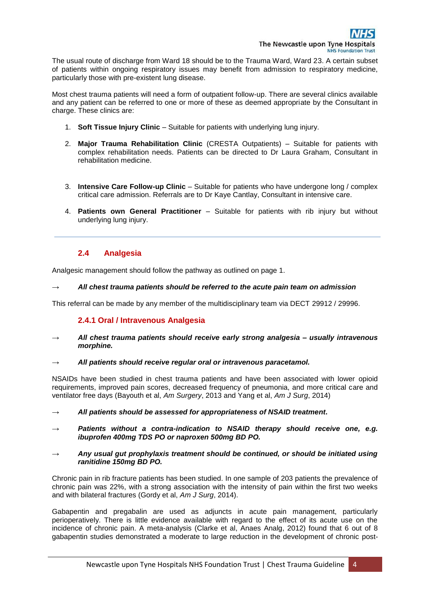The usual route of discharge from Ward 18 should be to the Trauma Ward, Ward 23. A certain subset of patients within ongoing respiratory issues may benefit from admission to respiratory medicine, particularly those with pre-existent lung disease.

Most chest trauma patients will need a form of outpatient follow-up. There are several clinics available and any patient can be referred to one or more of these as deemed appropriate by the Consultant in charge. These clinics are:

- 1. **Soft Tissue Injury Clinic** Suitable for patients with underlying lung injury.
- 2. **Major Trauma Rehabilitation Clinic** (CRESTA Outpatients) Suitable for patients with complex rehabilitation needs. Patients can be directed to Dr Laura Graham, Consultant in rehabilitation medicine.
- 3. **Intensive Care Follow-up Clinic** Suitable for patients who have undergone long / complex critical care admission. Referrals are to Dr Kaye Cantlay, Consultant in intensive care.
- 4. **Patients own General Practitioner** Suitable for patients with rib injury but without underlying lung injury.

# **2.4 Analgesia**

Analgesic management should follow the pathway as outlined on page 1.

### **→** *All chest trauma patients should be referred to the acute pain team on admission*

This referral can be made by any member of the multidisciplinary team via DECT 29912 / 29996.

## **2.4.1 Oral / Intravenous Analgesia**

- **→** *All chest trauma patients should receive early strong analgesia – usually intravenous morphine.*
- *→ All patients should receive regular oral or intravenous paracetamol.*

NSAIDs have been studied in chest trauma patients and have been associated with lower opioid requirements, improved pain scores, decreased frequency of pneumonia, and more critical care and ventilator free days (Bayouth et al, *Am Surgery*, 2013 and Yang et al, *Am J Surg*, 2014)

- *→ All patients should be assessed for appropriateness of NSAID treatment***.**
- Patients without a contra-indication to NSAID therapy should receive one, e.g. *ibuprofen 400mg TDS PO or naproxen 500mg BD PO.*
- *→ Any usual gut prophylaxis treatment should be continued, or should be initiated using ranitidine 150mg BD PO.*

Chronic pain in rib fracture patients has been studied. In one sample of 203 patients the prevalence of chronic pain was 22%, with a strong association with the intensity of pain within the first two weeks and with bilateral fractures (Gordy et al, *Am J Surg*, 2014).

Gabapentin and pregabalin are used as adjuncts in acute pain management, particularly perioperatively. There is little evidence available with regard to the effect of its acute use on the incidence of chronic pain. A meta-analysis (Clarke et al, Anaes Analg, 2012) found that 6 out of 8 gabapentin studies demonstrated a moderate to large reduction in the development of chronic post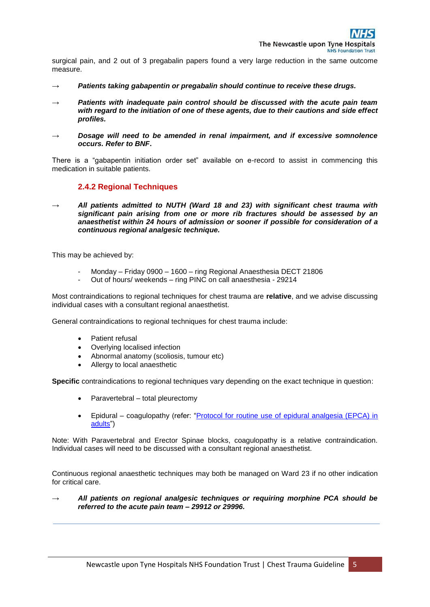surgical pain, and 2 out of 3 pregabalin papers found a very large reduction in the same outcome measure.

- *→ Patients taking gabapentin or pregabalin should continue to receive these drugs.*
- Patients with inadequate pain control should be discussed with the acute pain team *with regard to the initiation of one of these agents, due to their cautions and side effect profiles.*
- **Dosage will need to be amended in renal impairment, and if excessive somnolence** *occurs. Refer to BNF***.**

There is a "gabapentin initiation order set" available on e-record to assist in commencing this medication in suitable patients.

## **2.4.2 Regional Techniques**

*→ All patients admitted to NUTH (Ward 18 and 23) with significant chest trauma with significant pain arising from one or more rib fractures should be assessed by an anaesthetist within 24 hours of admission or sooner if possible for consideration of a continuous regional analgesic technique.*

This may be achieved by:

- Monday Friday 0900 1600 ring Regional Anaesthesia DECT 21806
- Out of hours/ weekends ring PINC on call anaesthesia 29214

Most contraindications to regional techniques for chest trauma are **relative**, and we advise discussing individual cases with a consultant regional anaesthetist.

General contraindications to regional techniques for chest trauma include:

- Patient refusal
- Overlying localised infection
- Abnormal anatomy (scoliosis, tumour etc)
- Allergy to local anaesthetic

**Specific** contraindications to regional techniques vary depending on the exact technique in question:

- Paravertebral total pleurectomy
- Epidural coagulopathy (refer: ["Protocol for routine use of epidural](http://policies.app/cgdocs/epiduralprotocol201505.pdf) analgesia (EPCA) in [adults"](http://policies.app/cgdocs/epiduralprotocol201505.pdf))

Note: With Paravertebral and Erector Spinae blocks, coagulopathy is a relative contraindication. Individual cases will need to be discussed with a consultant regional anaesthetist.

Continuous regional anaesthetic techniques may both be managed on Ward 23 if no other indication for critical care.

*→ All patients on regional analgesic techniques or requiring morphine PCA should be referred to the acute pain team – 29912 or 29996.*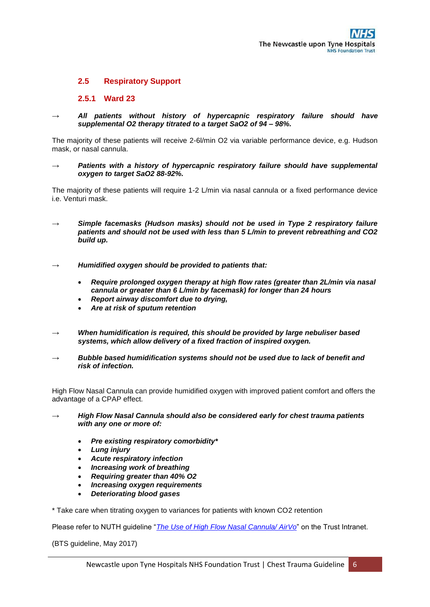## **2.5 Respiratory Support**

### **2.5.1 Ward 23**

*→ All patients without history of hypercapnic respiratory failure should have supplemental O2 therapy titrated to a target SaO2 of 94 – 98%.*

The majority of these patients will receive 2-6l/min O2 via variable performance device, e.g. Hudson mask, or nasal cannula.

*Patients with a history of hypercapnic respiratory failure should have supplemental oxygen to target SaO2 88-92%.*

The majority of these patients will require 1-2 L/min via nasal cannula or a fixed performance device i.e. Venturi mask.

- Simple facemasks (Hudson masks) should not be used in Type 2 respiratory failure *patients and should not be used with less than 5 L/min to prevent rebreathing and CO2 build up.*
- *→ Humidified oxygen should be provided to patients that:*
	- *Require prolonged oxygen therapy at high flow rates (greater than 2L/min via nasal cannula or greater than 6 L/min by facemask) for longer than 24 hours*
	- *Report airway discomfort due to drying,*
	- *Are at risk of sputum retention*
- *When humidification is required, this should be provided by large nebuliser based systems, which allow delivery of a fixed fraction of inspired oxygen.*
- **Bubble based humidification systems should not be used due to lack of benefit and** *risk of infection.*

High Flow Nasal Cannula can provide humidified oxygen with improved patient comfort and offers the advantage of a CPAP effect.

- *→ High Flow Nasal Cannula should also be considered early for chest trauma patients with any one or more of:*
	- *Pre existing respiratory comorbidity\**
	- *Lung injury*
	- *Acute respiratory infection*
	- *Increasing work of breathing*
	- *Requiring greater than 40% O2*
	- *Increasing oxygen requirements*
	- *Deteriorating blood gases*

\* Take care when titrating oxygen to variances for patients with known CO2 retention

Please refer to NUTH guideline "*[The Use of High Flow Nasal Cannula/ AirVo](http://policies.app/cgdocs/HFNCGuidelines201611.pdf)*" on the Trust Intranet.

(BTS guideline, May 2017)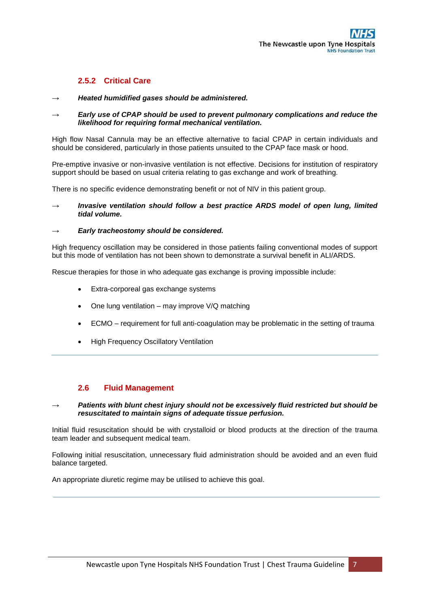## **2.5.2 Critical Care**

### *→ Heated humidified gases should be administered.*

### **Early use of CPAP should be used to prevent pulmonary complications and reduce the** *likelihood for requiring formal mechanical ventilation.*

High flow Nasal Cannula may be an effective alternative to facial CPAP in certain individuals and should be considered, particularly in those patients unsuited to the CPAP face mask or hood.

Pre-emptive invasive or non-invasive ventilation is not effective. Decisions for institution of respiratory support should be based on usual criteria relating to gas exchange and work of breathing.

There is no specific evidence demonstrating benefit or not of NIV in this patient group.

*Invasive ventilation should follow a best practice ARDS model of open lung, limited tidal volume.* 

### **Early tracheostomy should be considered.**

High frequency oscillation may be considered in those patients failing conventional modes of support but this mode of ventilation has not been shown to demonstrate a survival benefit in ALI/ARDS.

Rescue therapies for those in who adequate gas exchange is proving impossible include:

- Extra-corporeal gas exchange systems
- One lung ventilation may improve V/Q matching
- ECMO requirement for full anti-coagulation may be problematic in the setting of trauma
- High Frequency Oscillatory Ventilation

## **2.6 Fluid Management**

### Patients with blunt chest injury should not be excessively fluid restricted but should be *resuscitated to maintain signs of adequate tissue perfusion.*

Initial fluid resuscitation should be with crystalloid or blood products at the direction of the trauma team leader and subsequent medical team.

Following initial resuscitation, unnecessary fluid administration should be avoided and an even fluid balance targeted.

An appropriate diuretic regime may be utilised to achieve this goal.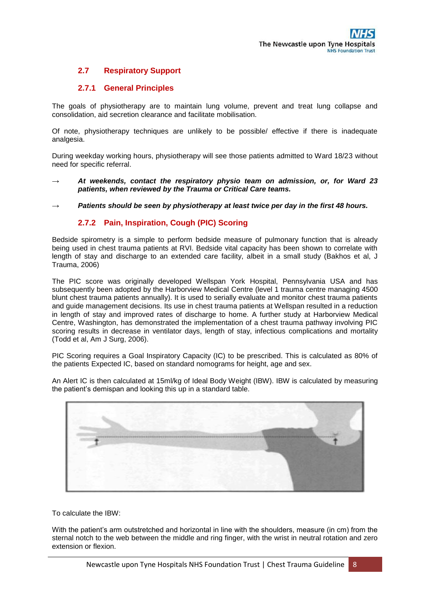# **2.7 Respiratory Support**

## **2.7.1 General Principles**

The goals of physiotherapy are to maintain lung volume, prevent and treat lung collapse and consolidation, aid secretion clearance and facilitate mobilisation.

Of note, physiotherapy techniques are unlikely to be possible/ effective if there is inadequate analgesia.

During weekday working hours, physiotherapy will see those patients admitted to Ward 18/23 without need for specific referral.

- At weekends, contact the respiratory physio team on admission, or, for Ward 23 *patients, when reviewed by the Trauma or Critical Care teams.*
- *→ Patients should be seen by physiotherapy at least twice per day in the first 48 hours.*

### **2.7.2 Pain, Inspiration, Cough (PIC) Scoring**

Bedside spirometry is a simple to perform bedside measure of pulmonary function that is already being used in chest trauma patients at RVI. Bedside vital capacity has been shown to correlate with length of stay and discharge to an extended care facility, albeit in a small study (Bakhos et al, J Trauma, 2006)

The PIC score was originally developed Wellspan York Hospital, Pennsylvania USA and has subsequently been adopted by the Harborview Medical Centre (level 1 trauma centre managing 4500) blunt chest trauma patients annually). It is used to serially evaluate and monitor chest trauma patients and guide management decisions. Its use in chest trauma patients at Wellspan resulted in a reduction in length of stay and improved rates of discharge to home. A further study at Harborview Medical Centre, Washington, has demonstrated the implementation of a chest trauma pathway involving PIC scoring results in decrease in ventilator days, length of stay, infectious complications and mortality (Todd et al, Am J Surg, 2006).

PIC Scoring requires a Goal Inspiratory Capacity (IC) to be prescribed. This is calculated as 80% of the patients Expected IC, based on standard nomograms for height, age and sex.

An Alert IC is then calculated at 15ml/kg of Ideal Body Weight (IBW). IBW is calculated by measuring the patient's demispan and looking this up in a standard table.



To calculate the IBW:

With the patient's arm outstretched and horizontal in line with the shoulders, measure (in cm) from the sternal notch to the web between the middle and ring finger, with the wrist in neutral rotation and zero extension or flexion.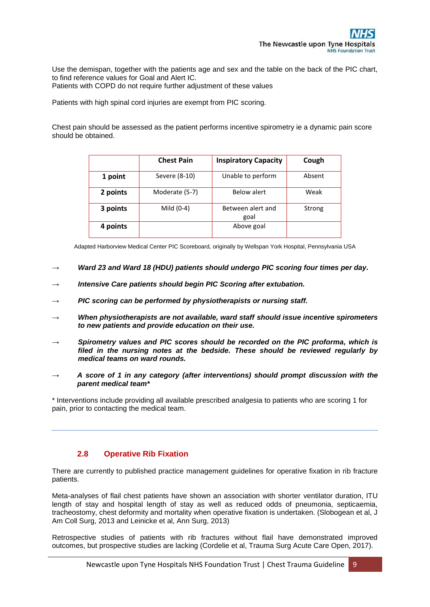Use the demispan, together with the patients age and sex and the table on the back of the PIC chart, to find reference values for Goal and Alert IC.

Patients with COPD do not require further adjustment of these values

Patients with high spinal cord injuries are exempt from PIC scoring.

Chest pain should be assessed as the patient performs incentive spirometry ie a dynamic pain score should be obtained.

|          | <b>Chest Pain</b> | <b>Inspiratory Capacity</b> | Cough  |
|----------|-------------------|-----------------------------|--------|
| 1 point  | Severe (8-10)     | Unable to perform           | Absent |
| 2 points | Moderate (5-7)    | Below alert                 | Weak   |
| 3 points | Mild (0-4)        | Between alert and<br>goal   | Strong |
| 4 points |                   | Above goal                  |        |

Adapted Harborview Medical Center PIC Scoreboard, originally by Wellspan York Hospital, Pennsylvania USA

- *Ward 23 and Ward 18 (HDU) patients should undergo PIC scoring four times per day.*
- **Intensive Care patients should begin PIC Scoring after extubation.**
- *→ PIC scoring can be performed by physiotherapists or nursing staff.*
- *→ When physiotherapists are not available, ward staff should issue incentive spirometers to new patients and provide education on their use.*
- *→ Spirometry values and PIC scores should be recorded on the PIC proforma, which is filed in the nursing notes at the bedside. These should be reviewed regularly by medical teams on ward rounds.*
- *→ A score of 1 in any category (after interventions) should prompt discussion with the parent medical team\**

\* Interventions include providing all available prescribed analgesia to patients who are scoring 1 for pain, prior to contacting the medical team.

## **2.8 Operative Rib Fixation**

There are currently to published practice management guidelines for operative fixation in rib fracture patients.

Meta-analyses of flail chest patients have shown an association with shorter ventilator duration, ITU length of stay and hospital length of stay as well as reduced odds of pneumonia, septicaemia, tracheostomy, chest deformity and mortality when operative fixation is undertaken. (Slobogean et al, J Am Coll Surg, 2013 and Leinicke et al, Ann Surg, 2013)

Retrospective studies of patients with rib fractures without flail have demonstrated improved outcomes, but prospective studies are lacking (Cordelie et al, Trauma Surg Acute Care Open, 2017).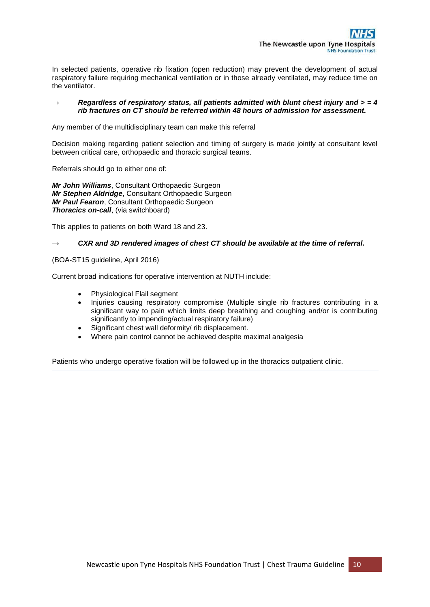In selected patients, operative rib fixation (open reduction) may prevent the development of actual respiratory failure requiring mechanical ventilation or in those already ventilated, may reduce time on the ventilator.

### *→ Regardless of respiratory status, all patients admitted with blunt chest injury and > = 4 rib fractures on CT should be referred within 48 hours of admission for assessment.*

Any member of the multidisciplinary team can make this referral

Decision making regarding patient selection and timing of surgery is made jointly at consultant level between critical care, orthopaedic and thoracic surgical teams.

Referrals should go to either one of:

*Mr John Williams*, Consultant Orthopaedic Surgeon *Mr Stephen Aldridge*, Consultant Orthopaedic Surgeon *Mr Paul Fearon*, Consultant Orthopaedic Surgeon *Thoracics on-call, (via switchboard)* 

This applies to patients on both Ward 18 and 23.

### CXR and 3D rendered images of chest CT should be available at the time of referral.

(BOA-ST15 guideline, April 2016)

Current broad indications for operative intervention at NUTH include:

- Physiological Flail segment
- Injuries causing respiratory compromise (Multiple single rib fractures contributing in a significant way to pain which limits deep breathing and coughing and/or is contributing significantly to impending/actual respiratory failure)
- Significant chest wall deformity/ rib displacement.
- Where pain control cannot be achieved despite maximal analgesia

Patients who undergo operative fixation will be followed up in the thoracics outpatient clinic.